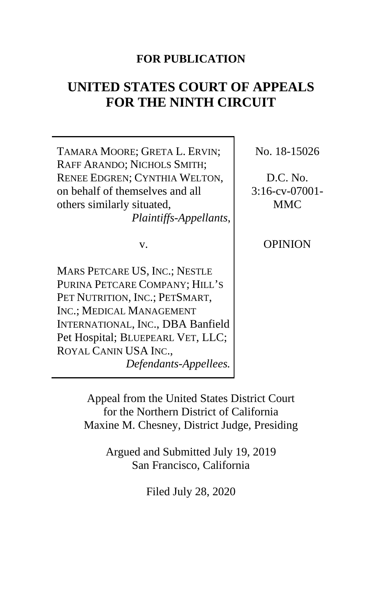## **FOR PUBLICATION**

# **UNITED STATES COURT OF APPEALS FOR THE NINTH CIRCUIT**

TAMARA MOORE; GRETA L. ERVIN; RAFF ARANDO; NICHOLS SMITH; RENEE EDGREN; CYNTHIA WELTON, on behalf of themselves and all others similarly situated, *Plaintiffs-Appellants*,

v.

MARS PETCARE US, INC.; NESTLE PURINA PETCARE COMPANY; HILL'S PET NUTRITION, INC.; PETSMART, INC.; MEDICAL MANAGEMENT INTERNATIONAL, INC., DBA Banfield Pet Hospital; BLUEPEARL VET, LLC; ROYAL CANIN USA INC., *Defendants-Appellees.*

No. 18-15026

D.C. No. 3:16-cv-07001- MMC

OPINION

Appeal from the United States District Court for the Northern District of California Maxine M. Chesney, District Judge, Presiding

> Argued and Submitted July 19, 2019 San Francisco, California

> > Filed July 28, 2020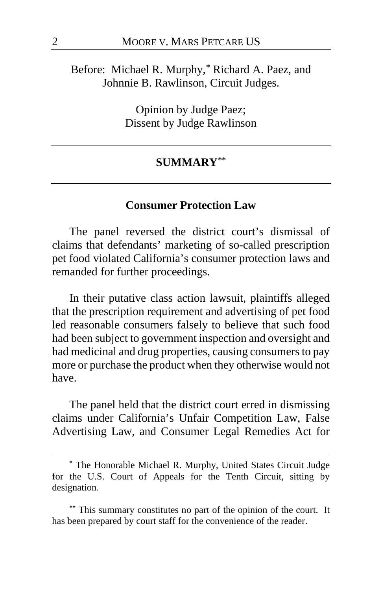Before: Michael R. Murphy,**[\\*](#page-1-0)** Richard A. Paez, and Johnnie B. Rawlinson, Circuit Judges.

> Opinion by Judge Paez; Dissent by Judge Rawlinson

#### **SUMMARY[\\*\\*](#page-1-1)**

#### **Consumer Protection Law**

The panel reversed the district court's dismissal of claims that defendants' marketing of so-called prescription pet food violated California's consumer protection laws and remanded for further proceedings.

In their putative class action lawsuit, plaintiffs alleged that the prescription requirement and advertising of pet food led reasonable consumers falsely to believe that such food had been subject to government inspection and oversight and had medicinal and drug properties, causing consumers to pay more or purchase the product when they otherwise would not have.

The panel held that the district court erred in dismissing claims under California's Unfair Competition Law, False Advertising Law, and Consumer Legal Remedies Act for

<span id="page-1-0"></span>**<sup>\*</sup>** The Honorable Michael R. Murphy, United States Circuit Judge for the U.S. Court of Appeals for the Tenth Circuit, sitting by designation.

<span id="page-1-1"></span>**<sup>\*\*</sup>** This summary constitutes no part of the opinion of the court. It has been prepared by court staff for the convenience of the reader.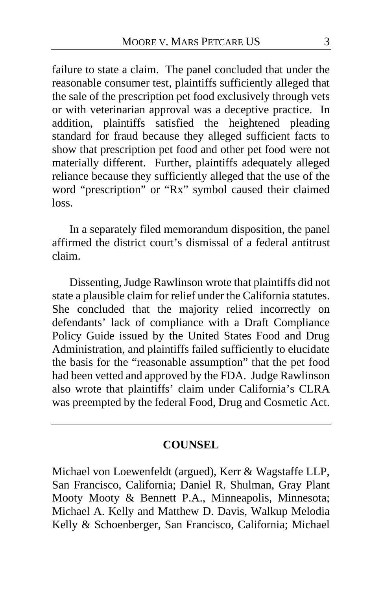failure to state a claim. The panel concluded that under the reasonable consumer test, plaintiffs sufficiently alleged that the sale of the prescription pet food exclusively through vets or with veterinarian approval was a deceptive practice. In addition, plaintiffs satisfied the heightened pleading standard for fraud because they alleged sufficient facts to show that prescription pet food and other pet food were not materially different. Further, plaintiffs adequately alleged reliance because they sufficiently alleged that the use of the word "prescription" or "Rx" symbol caused their claimed loss.

In a separately filed memorandum disposition, the panel affirmed the district court's dismissal of a federal antitrust claim.

Dissenting, Judge Rawlinson wrote that plaintiffs did not state a plausible claim for relief under the California statutes. She concluded that the majority relied incorrectly on defendants' lack of compliance with a Draft Compliance Policy Guide issued by the United States Food and Drug Administration, and plaintiffs failed sufficiently to elucidate the basis for the "reasonable assumption" that the pet food had been vetted and approved by the FDA. Judge Rawlinson also wrote that plaintiffs' claim under California's CLRA was preempted by the federal Food, Drug and Cosmetic Act.

### **COUNSEL**

Michael von Loewenfeldt (argued), Kerr & Wagstaffe LLP, San Francisco, California; Daniel R. Shulman, Gray Plant Mooty Mooty & Bennett P.A., Minneapolis, Minnesota; Michael A. Kelly and Matthew D. Davis, Walkup Melodia Kelly & Schoenberger, San Francisco, California; Michael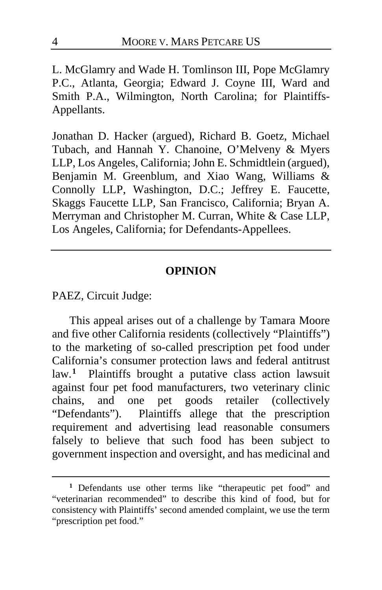L. McGlamry and Wade H. Tomlinson III, Pope McGlamry P.C., Atlanta, Georgia; Edward J. Coyne III, Ward and Smith P.A., Wilmington, North Carolina; for Plaintiffs-Appellants.

Jonathan D. Hacker (argued), Richard B. Goetz, Michael Tubach, and Hannah Y. Chanoine, O'Melveny & Myers LLP, Los Angeles, California; John E. Schmidtlein (argued), Benjamin M. Greenblum, and Xiao Wang, Williams & Connolly LLP, Washington, D.C.; Jeffrey E. Faucette, Skaggs Faucette LLP, San Francisco, California; Bryan A. Merryman and Christopher M. Curran, White & Case LLP, Los Angeles, California; for Defendants-Appellees.

### **OPINION**

PAEZ, Circuit Judge:

This appeal arises out of a challenge by Tamara Moore and five other California residents (collectively "Plaintiffs") to the marketing of so-called prescription pet food under California's consumer protection laws and federal antitrust law.**[1](#page-3-0)** Plaintiffs brought a putative class action lawsuit against four pet food manufacturers, two veterinary clinic chains, and one pet goods retailer (collectively "Defendants"). Plaintiffs allege that the prescription requirement and advertising lead reasonable consumers falsely to believe that such food has been subject to government inspection and oversight, and has medicinal and

<span id="page-3-0"></span>**<sup>1</sup>** Defendants use other terms like "therapeutic pet food" and "veterinarian recommended" to describe this kind of food, but for consistency with Plaintiffs' second amended complaint, we use the term "prescription pet food."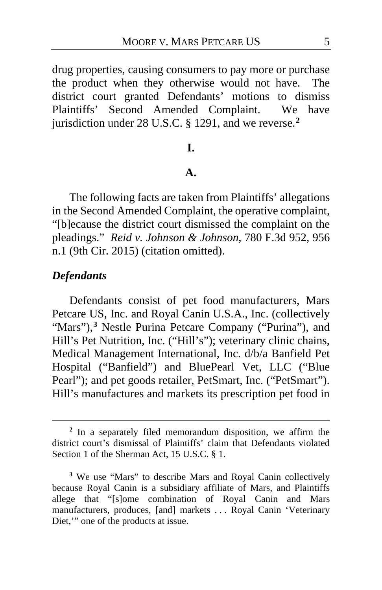drug properties, causing consumers to pay more or purchase the product when they otherwise would not have. The district court granted Defendants' motions to dismiss Plaintiffs' Second Amended Complaint. We have jurisdiction under 28 U.S.C. § 1291, and we reverse.**[2](#page-4-0)**

## **I.**

#### **A.**

The following facts are taken from Plaintiffs' allegations in the Second Amended Complaint, the operative complaint, "[b]ecause the district court dismissed the complaint on the pleadings." *Reid v. Johnson & Johnson*, 780 F.3d 952, 956 n.1 (9th Cir. 2015) (citation omitted).

## *Defendants*

Defendants consist of pet food manufacturers, Mars Petcare US, Inc. and Royal Canin U.S.A., Inc. (collectively "Mars"),<sup>[3](#page-4-1)</sup> Nestle Purina Petcare Company ("Purina"), and Hill's Pet Nutrition, Inc. ("Hill's"); veterinary clinic chains, Medical Management International, Inc. d/b/a Banfield Pet Hospital ("Banfield") and BluePearl Vet, LLC ("Blue Pearl"); and pet goods retailer, PetSmart, Inc. ("PetSmart"). Hill's manufactures and markets its prescription pet food in

<span id="page-4-0"></span>**<sup>2</sup>** In a separately filed memorandum disposition, we affirm the district court's dismissal of Plaintiffs' claim that Defendants violated Section 1 of the Sherman Act, 15 U.S.C. § 1.

<span id="page-4-1"></span>**<sup>3</sup>** We use "Mars" to describe Mars and Royal Canin collectively because Royal Canin is a subsidiary affiliate of Mars, and Plaintiffs allege that "[s]ome combination of Royal Canin and Mars manufacturers, produces, [and] markets . . . Royal Canin 'Veterinary Diet,'" one of the products at issue.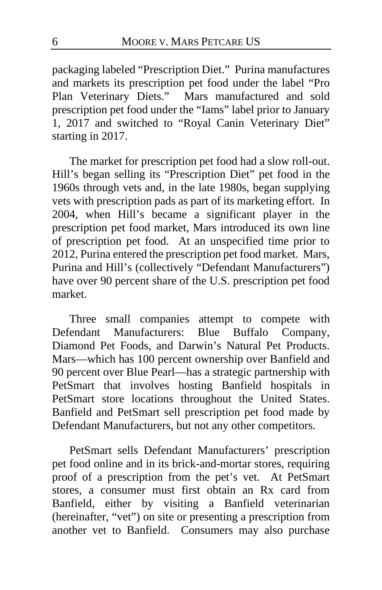packaging labeled "Prescription Diet." Purina manufactures and markets its prescription pet food under the label "Pro Plan Veterinary Diets." Mars manufactured and sold prescription pet food under the "Iams" label prior to January 1, 2017 and switched to "Royal Canin Veterinary Diet" starting in 2017.

The market for prescription pet food had a slow roll-out. Hill's began selling its "Prescription Diet" pet food in the 1960s through vets and, in the late 1980s, began supplying vets with prescription pads as part of its marketing effort. In 2004, when Hill's became a significant player in the prescription pet food market, Mars introduced its own line of prescription pet food. At an unspecified time prior to 2012, Purina entered the prescription pet food market. Mars, Purina and Hill's (collectively "Defendant Manufacturers") have over 90 percent share of the U.S. prescription pet food market.

Three small companies attempt to compete with<br>
Fendant Manufacturers: Blue Buffalo Company, Defendant Manufacturers: Diamond Pet Foods, and Darwin's Natural Pet Products. Mars—which has 100 percent ownership over Banfield and 90 percent over Blue Pearl—has a strategic partnership with PetSmart that involves hosting Banfield hospitals in PetSmart store locations throughout the United States. Banfield and PetSmart sell prescription pet food made by Defendant Manufacturers, but not any other competitors.

PetSmart sells Defendant Manufacturers' prescription pet food online and in its brick-and-mortar stores, requiring proof of a prescription from the pet's vet. At PetSmart stores, a consumer must first obtain an Rx card from Banfield, either by visiting a Banfield veterinarian (hereinafter, "vet") on site or presenting a prescription from another vet to Banfield. Consumers may also purchase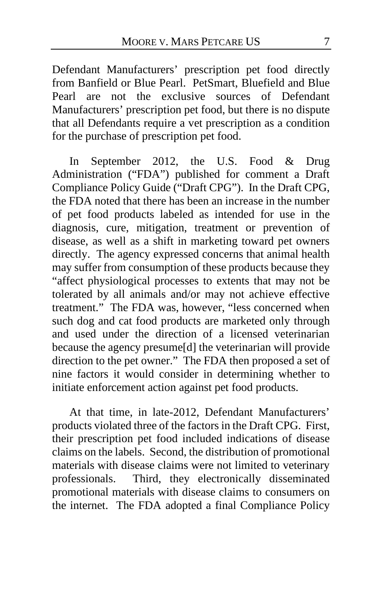Defendant Manufacturers' prescription pet food directly from Banfield or Blue Pearl. PetSmart, Bluefield and Blue Pearl are not the exclusive sources of Defendant Manufacturers' prescription pet food, but there is no dispute that all Defendants require a vet prescription as a condition for the purchase of prescription pet food.

In September 2012, the U.S. Food & Drug Administration ("FDA") published for comment a Draft Compliance Policy Guide ("Draft CPG"). In the Draft CPG, the FDA noted that there has been an increase in the number of pet food products labeled as intended for use in the diagnosis, cure, mitigation, treatment or prevention of disease, as well as a shift in marketing toward pet owners directly. The agency expressed concerns that animal health may suffer from consumption of these products because they "affect physiological processes to extents that may not be tolerated by all animals and/or may not achieve effective treatment." The FDA was, however, "less concerned when such dog and cat food products are marketed only through and used under the direction of a licensed veterinarian because the agency presume[d] the veterinarian will provide direction to the pet owner." The FDA then proposed a set of nine factors it would consider in determining whether to initiate enforcement action against pet food products.

<span id="page-6-0"></span>At that time, in late-2012, Defendant Manufacturers' products violated three of the factors in the Draft CPG. First, their prescription pet food included indications of disease claims on the labels. Second, the distribution of promotional materials with disease claims were not limited to veterinary professionals. Third, they electronically disseminated promotional materials with disease claims to consumers on the internet. The FDA adopted a final Compliance Policy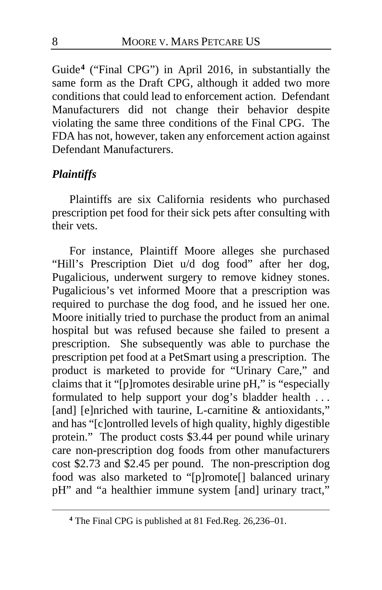Guide**[4](#page-7-0)** ("Final CPG") in April 2016, in substantially the same form as the Draft CPG, although it added two more conditions that could lead to enforcement action. Defendant Manufacturers did not change their behavior despite violating the same three conditions of the Final CPG. The FDA has not, however, taken any enforcement action against Defendant Manufacturers.

## *Plaintiffs*

Plaintiffs are six California residents who purchased prescription pet food for their sick pets after consulting with their vets.

For instance, Plaintiff Moore alleges she purchased "Hill's Prescription Diet u/d dog food" after her dog, Pugalicious, underwent surgery to remove kidney stones. Pugalicious's vet informed Moore that a prescription was required to purchase the dog food, and he issued her one. Moore initially tried to purchase the product from an animal hospital but was refused because she failed to present a prescription. She subsequently was able to purchase the prescription pet food at a PetSmart using a prescription. The product is marketed to provide for "Urinary Care," and claims that it "[p]romotes desirable urine pH," is "especially formulated to help support your dog's bladder health ... [and] [e]nriched with taurine, L-carnitine & antioxidants," and has "[c]ontrolled levels of high quality, highly digestible protein." The product costs \$3.44 per pound while urinary care non-prescription dog foods from other manufacturers cost \$2.73 and \$2.45 per pound. The non-prescription dog food was also marketed to "[p]romote[] balanced urinary pH" and "a healthier immune system [and] urinary tract,"

<span id="page-7-0"></span>**<sup>4</sup>** The Final CPG is published at 81 Fed.Reg. 26,236–01.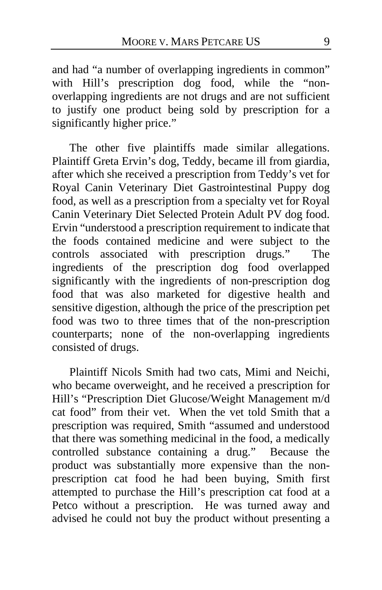and had "a number of overlapping ingredients in common" with Hill's prescription dog food, while the "nonoverlapping ingredients are not drugs and are not sufficient to justify one product being sold by prescription for a significantly higher price."

The other five plaintiffs made similar allegations. Plaintiff Greta Ervin's dog, Teddy, became ill from giardia, after which she received a prescription from Teddy's vet for Royal Canin Veterinary Diet Gastrointestinal Puppy dog food, as well as a prescription from a specialty vet for Royal Canin Veterinary Diet Selected Protein Adult PV dog food. Ervin "understood a prescription requirement to indicate that the foods contained medicine and were subject to the controls associated with prescription drugs." The ingredients of the prescription dog food overlapped significantly with the ingredients of non-prescription dog food that was also marketed for digestive health and sensitive digestion, although the price of the prescription pet food was two to three times that of the non-prescription counterparts; none of the non-overlapping ingredients consisted of drugs.

Plaintiff Nicols Smith had two cats, Mimi and Neichi, who became overweight, and he received a prescription for Hill's "Prescription Diet Glucose/Weight Management m/d cat food" from their vet. When the vet told Smith that a prescription was required, Smith "assumed and understood that there was something medicinal in the food, a medically controlled substance containing a drug." Because the product was substantially more expensive than the nonprescription cat food he had been buying, Smith first attempted to purchase the Hill's prescription cat food at a Petco without a prescription. He was turned away and advised he could not buy the product without presenting a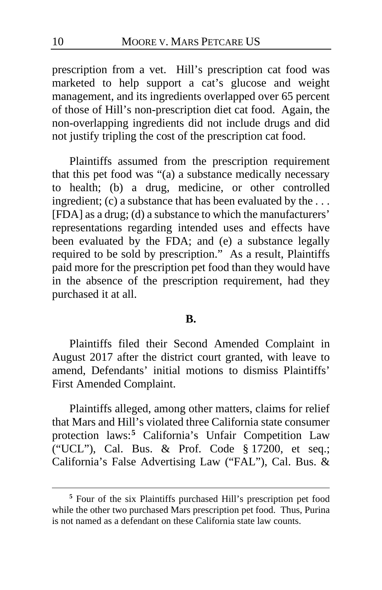prescription from a vet. Hill's prescription cat food was marketed to help support a cat's glucose and weight management, and its ingredients overlapped over 65 percent of those of Hill's non-prescription diet cat food. Again, the non-overlapping ingredients did not include drugs and did not justify tripling the cost of the prescription cat food.

Plaintiffs assumed from the prescription requirement that this pet food was "(a) a substance medically necessary to health; (b) a drug, medicine, or other controlled ingredient; (c) a substance that has been evaluated by the ... [FDA] as a drug; (d) a substance to which the manufacturers' representations regarding intended uses and effects have been evaluated by the FDA; and (e) a substance legally required to be sold by prescription." As a result, Plaintiffs paid more for the prescription pet food than they would have in the absence of the prescription requirement, had they purchased it at all.

#### **B.**

Plaintiffs filed their Second Amended Complaint in August 2017 after the district court granted, with leave to amend, Defendants' initial motions to dismiss Plaintiffs' First Amended Complaint.

Plaintiffs alleged, among other matters, claims for relief that Mars and Hill's violated three California state consumer protection laws:**[5](#page-9-0)** California's Unfair Competition Law ("UCL"), Cal. Bus. & Prof. Code § 17200, et seq.; California's False Advertising Law ("FAL"), Cal. Bus. &

<span id="page-9-0"></span>**<sup>5</sup>** Four of the six Plaintiffs purchased Hill's prescription pet food while the other two purchased Mars prescription pet food. Thus, Purina is not named as a defendant on these California state law counts.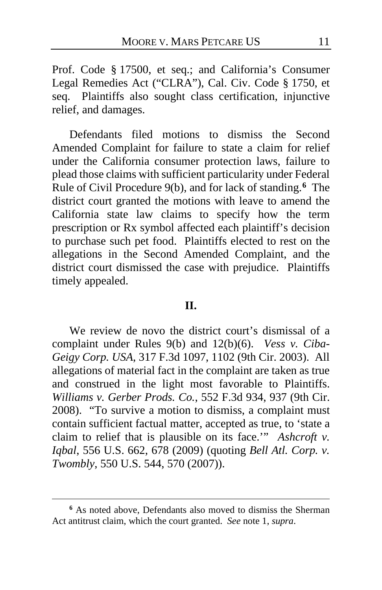Prof. Code § 17500, et seq.; and California's Consumer Legal Remedies Act ("CLRA"), Cal. Civ. Code § 1750, et seq. Plaintiffs also sought class certification, injunctive relief, and damages.

Defendants filed motions to dismiss the Second Amended Complaint for failure to state a claim for relief under the California consumer protection laws, failure to plead those claims with sufficient particularity under Federal Rule of Civil Procedure 9(b), and for lack of standing. **[6](#page-10-0)** The district court granted the motions with leave to amend the California state law claims to specify how the term prescription or Rx symbol affected each plaintiff's decision to purchase such pet food. Plaintiffs elected to rest on the allegations in the Second Amended Complaint, and the district court dismissed the case with prejudice. Plaintiffs timely appealed.

#### **II.**

We review de novo the district court's dismissal of a complaint under Rules 9(b) and 12(b)(6). *Vess v. Ciba-Geigy Corp. USA*, 317 F.3d 1097, 1102 (9th Cir. 2003). All allegations of material fact in the complaint are taken as true and construed in the light most favorable to Plaintiffs. *Williams v. Gerber Prods. Co.*, 552 F.3d 934, 937 (9th Cir. 2008). "To survive a motion to dismiss, a complaint must contain sufficient factual matter, accepted as true, to 'state a claim to relief that is plausible on its face.'" *Ashcroft v. Iqbal*, 556 U.S. 662, 678 (2009) (quoting *Bell Atl. Corp. v. Twombly*, 550 U.S. 544, 570 (2007)).

<span id="page-10-0"></span>**<sup>6</sup>** As noted above, Defendants also moved to dismiss the Sherman Act antitrust claim, which the court granted. *See* note 1, *supra*.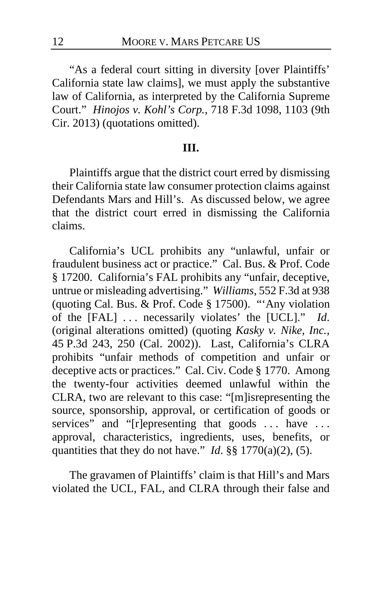"As a federal court sitting in diversity [over Plaintiffs' California state law claims], we must apply the substantive law of California, as interpreted by the California Supreme Court." *Hinojos v. Kohl's Corp.*, 718 F.3d 1098, 1103 (9th Cir. 2013) (quotations omitted).

## **III.**

Plaintiffs argue that the district court erred by dismissing their California state law consumer protection claims against Defendants Mars and Hill's. As discussed below, we agree that the district court erred in dismissing the California claims.

California's UCL prohibits any "unlawful, unfair or fraudulent business act or practice." Cal. Bus. & Prof. Code § 17200. California's FAL prohibits any "unfair, deceptive, untrue or misleading advertising." *Williams*, 552 F.3d at 938 (quoting Cal. Bus. & Prof. Code § 17500). "'Any violation of the [FAL] . . . necessarily violates' the [UCL]." *Id*. (original alterations omitted) (quoting *Kasky v. Nike, Inc.*, 45 P.3d 243, 250 (Cal. 2002)). Last, California's CLRA prohibits "unfair methods of competition and unfair or deceptive acts or practices." Cal. Civ. Code § 1770. Among the twenty-four activities deemed unlawful within the CLRA, two are relevant to this case: "[m]isrepresenting the source, sponsorship, approval, or certification of goods or services" and "[r]epresenting that goods ... have ... approval, characteristics, ingredients, uses, benefits, or quantities that they do not have." *Id.*  $\S\S 1770(a)(2)$ , (5).

The gravamen of Plaintiffs' claim is that Hill's and Mars violated the UCL, FAL, and CLRA through their false and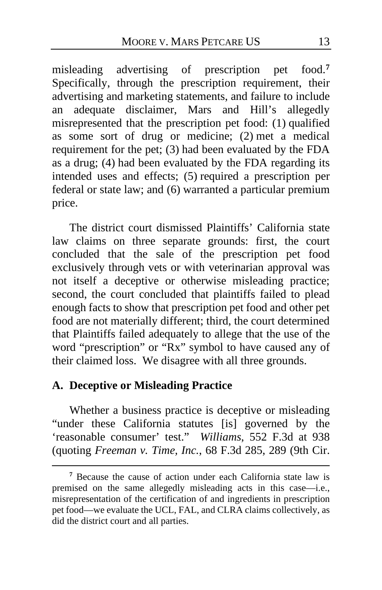misleading advertising of prescription pet food.**[7](#page-12-0)** Specifically, through the prescription requirement, their advertising and marketing statements, and failure to include an adequate disclaimer, Mars and Hill's allegedly misrepresented that the prescription pet food: (1) qualified as some sort of drug or medicine; (2) met a medical requirement for the pet; (3) had been evaluated by the FDA as a drug; (4) had been evaluated by the FDA regarding its intended uses and effects; (5) required a prescription per federal or state law; and (6) warranted a particular premium price.

The district court dismissed Plaintiffs' California state law claims on three separate grounds: first, the court concluded that the sale of the prescription pet food exclusively through vets or with veterinarian approval was not itself a deceptive or otherwise misleading practice; second, the court concluded that plaintiffs failed to plead enough facts to show that prescription pet food and other pet food are not materially different; third, the court determined that Plaintiffs failed adequately to allege that the use of the word "prescription" or "Rx" symbol to have caused any of their claimed loss. We disagree with all three grounds.

## **A. Deceptive or Misleading Practice**

Whether a business practice is deceptive or misleading "under these California statutes [is] governed by the 'reasonable consumer' test." *Williams*, 552 F.3d at 938 (quoting *Freeman v. Time, Inc.*, 68 F.3d 285, 289 (9th Cir.

<span id="page-12-0"></span>**<sup>7</sup>** Because the cause of action under each California state law is premised on the same allegedly misleading acts in this case—i.e., misrepresentation of the certification of and ingredients in prescription pet food—we evaluate the UCL, FAL, and CLRA claims collectively, as did the district court and all parties.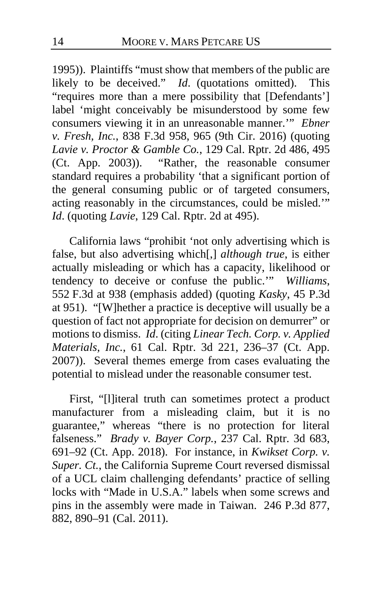1995)). Plaintiffs "must show that members of the public are likely to be deceived." *Id*. (quotations omitted). This "requires more than a mere possibility that [Defendants'] label 'might conceivably be misunderstood by some few consumers viewing it in an unreasonable manner.'" *Ebner v. Fresh, Inc.*, 838 F.3d 958, 965 (9th Cir. 2016) (quoting *Lavie v. Proctor & Gamble Co.*, 129 Cal. Rptr. 2d 486, 495 (Ct. App. 2003)). "Rather, the reasonable consumer standard requires a probability 'that a significant portion of the general consuming public or of targeted consumers, acting reasonably in the circumstances, could be misled.'" *Id*. (quoting *Lavie*, 129 Cal. Rptr. 2d at 495).

California laws "prohibit 'not only advertising which is false, but also advertising which[,] *although true*, is either actually misleading or which has a capacity, likelihood or tendency to deceive or confuse the public.'" *Williams*, 552 F.3d at 938 (emphasis added) (quoting *Kasky*, 45 P.3d at 951). "[W]hether a practice is deceptive will usually be a question of fact not appropriate for decision on demurrer" or motions to dismiss. *Id*. (citing *Linear Tech. Corp. v. Applied Materials, Inc.*, 61 Cal. Rptr. 3d 221, 236–37 (Ct. App. 2007)). Several themes emerge from cases evaluating the potential to mislead under the reasonable consumer test.

First, "[l]iteral truth can sometimes protect a product manufacturer from a misleading claim, but it is no guarantee," whereas "there is no protection for literal falseness." *Brady v. Bayer Corp.*, 237 Cal. Rptr. 3d 683, 691–92 (Ct. App. 2018). For instance, in *Kwikset Corp. v. Super. Ct.*, the California Supreme Court reversed dismissal of a UCL claim challenging defendants' practice of selling locks with "Made in U.S.A." labels when some screws and pins in the assembly were made in Taiwan. 246 P.3d 877, 882, 890–91 (Cal. 2011).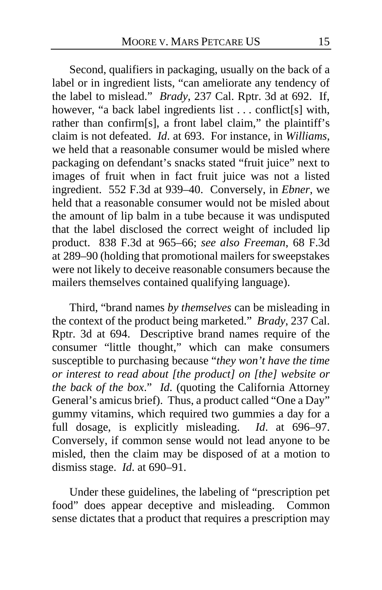Second, qualifiers in packaging, usually on the back of a label or in ingredient lists, "can ameliorate any tendency of the label to mislead." *Brady*, 237 Cal. Rptr. 3d at 692. If, however, "a back label ingredients list . . . conflict[s] with, rather than confirm[s], a front label claim," the plaintiff's claim is not defeated. *Id*. at 693. For instance, in *Williams*, we held that a reasonable consumer would be misled where packaging on defendant's snacks stated "fruit juice" next to images of fruit when in fact fruit juice was not a listed ingredient. 552 F.3d at 939–40. Conversely, in *Ebner*, we held that a reasonable consumer would not be misled about the amount of lip balm in a tube because it was undisputed that the label disclosed the correct weight of included lip product. 838 F.3d at 965–66; *see also Freeman*, 68 F.3d at 289–90 (holding that promotional mailers for sweepstakes were not likely to deceive reasonable consumers because the mailers themselves contained qualifying language).

Third, "brand names *by themselves* can be misleading in the context of the product being marketed." *Brady*, 237 Cal. Rptr. 3d at 694. Descriptive brand names require of the consumer "little thought," which can make consumers susceptible to purchasing because "*they won't have the time or interest to read about [the product] on [the] website or the back of the box*." *Id*. (quoting the California Attorney General's amicus brief). Thus, a product called "One a Day" gummy vitamins, which required two gummies a day for a full dosage, is explicitly misleading. *Id*. at 696–97. Conversely, if common sense would not lead anyone to be misled, then the claim may be disposed of at a motion to dismiss stage. *Id*. at 690–91.

Under these guidelines, the labeling of "prescription pet food" does appear deceptive and misleading. Common sense dictates that a product that requires a prescription may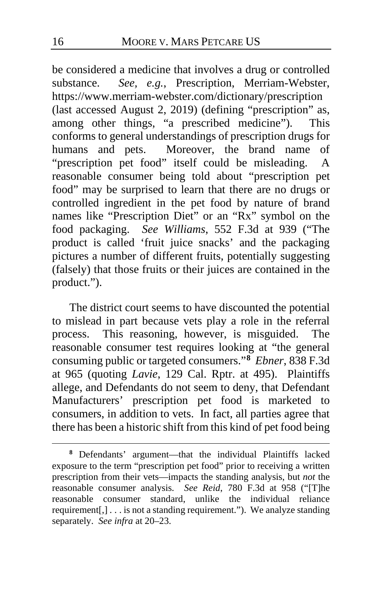be considered a medicine that involves a drug or controlled substance. *See, e.g.*, Prescription, Merriam-Webster, https://www.merriam-webster.com/dictionary/prescription (last accessed August 2, 2019) (defining "prescription" as, among other things, "a prescribed medicine"). This conforms to general understandings of prescription drugs for humans and pets. Moreover, the brand name of "prescription pet food" itself could be misleading. A reasonable consumer being told about "prescription pet food" may be surprised to learn that there are no drugs or controlled ingredient in the pet food by nature of brand names like "Prescription Diet" or an "Rx" symbol on the food packaging. *See Williams*, 552 F.3d at 939 ("The product is called 'fruit juice snacks' and the packaging pictures a number of different fruits, potentially suggesting (falsely) that those fruits or their juices are contained in the product.").

The district court seems to have discounted the potential to mislead in part because vets play a role in the referral process. This reasoning, however, is misguided. The reasonable consumer test requires looking at "the general consuming public or targeted consumers."**[8](#page-15-0)** *Ebner*, 838 F.3d at 965 (quoting *Lavie*, 129 Cal. Rptr. at 495). Plaintiffs allege, and Defendants do not seem to deny, that Defendant Manufacturers' prescription pet food is marketed to consumers, in addition to vets. In fact, all parties agree that there has been a historic shift from this kind of pet food being

<span id="page-15-0"></span>**<sup>8</sup>** Defendants' argument—that the individual Plaintiffs lacked exposure to the term "prescription pet food" prior to receiving a written prescription from their vets—impacts the standing analysis, but *not* the reasonable consumer analysis. *See Reid*, 780 F.3d at 958 ("[T]he reasonable consumer standard, unlike the individual reliance requirement[,] . . . is not a standing requirement."). We analyze standing separately. *See infra* at [20](#page-19-0)[–23.](#page-22-0)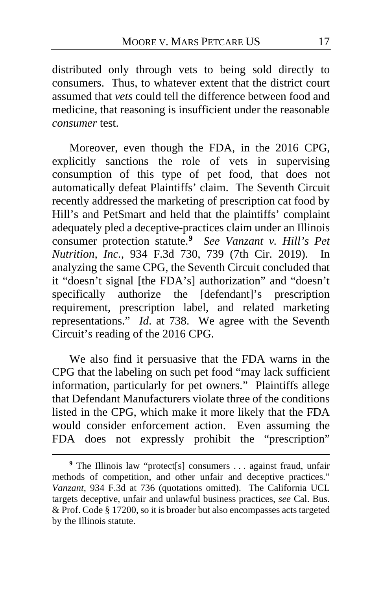distributed only through vets to being sold directly to consumers. Thus, to whatever extent that the district court assumed that *vets* could tell the difference between food and medicine, that reasoning is insufficient under the reasonable *consumer* test.

Moreover, even though the FDA, in the 2016 CPG, explicitly sanctions the role of vets in supervising consumption of this type of pet food, that does not automatically defeat Plaintiffs' claim. The Seventh Circuit recently addressed the marketing of prescription cat food by Hill's and PetSmart and held that the plaintiffs' complaint adequately pled a deceptive-practices claim under an Illinois consumer protection statute.**[9](#page-16-0)** *See Vanzant v. Hill's Pet Nutrition, Inc.*, 934 F.3d 730, 739 (7th Cir. 2019). In analyzing the same CPG, the Seventh Circuit concluded that it "doesn't signal [the FDA's] authorization" and "doesn't specifically authorize the [defendant]'s prescription requirement, prescription label, and related marketing representations." *Id*. at 738. We agree with the Seventh Circuit's reading of the 2016 CPG.

We also find it persuasive that the FDA warns in the CPG that the labeling on such pet food "may lack sufficient information, particularly for pet owners." Plaintiffs allege that Defendant Manufacturers violate three of the conditions listed in the CPG, which make it more likely that the FDA would consider enforcement action. Even assuming the FDA does not expressly prohibit the "prescription"

<span id="page-16-0"></span><sup>&</sup>lt;sup>9</sup> The Illinois law "protect<sup>[s]</sup> consumers . . . against fraud, unfair methods of competition, and other unfair and deceptive practices." *Vanzant*, 934 F.3d at 736 (quotations omitted). The California UCL targets deceptive, unfair and unlawful business practices, *see* Cal. Bus. & Prof. Code § 17200, so it is broader but also encompasses acts targeted by the Illinois statute.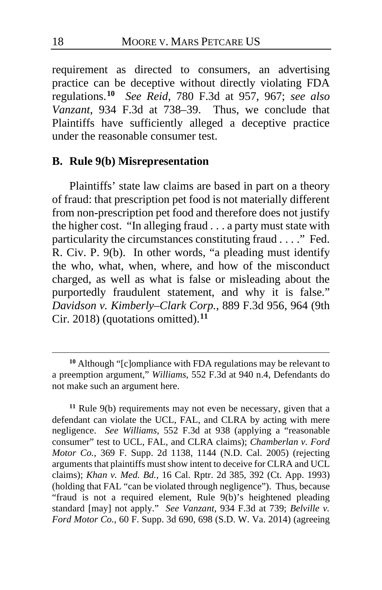requirement as directed to consumers, an advertising practice can be deceptive without directly violating FDA regulations.**[10](#page-17-0)** *See Reid*, 780 F.3d at 957, 967; *see also Vanzant*, 934 F.3d at 738–39. Thus, we conclude that Plaintiffs have sufficiently alleged a deceptive practice under the reasonable consumer test.

## **B. Rule 9(b) Misrepresentation**

Plaintiffs' state law claims are based in part on a theory of fraud: that prescription pet food is not materially different from non-prescription pet food and therefore does not justify the higher cost. "In alleging fraud . . . a party must state with particularity the circumstances constituting fraud . . . ." Fed. R. Civ. P. 9(b). In other words, "a pleading must identify the who, what, when, where, and how of the misconduct charged, as well as what is false or misleading about the purportedly fraudulent statement, and why it is false." *Davidson v. Kimberly–Clark Corp.*, 889 F.3d 956, 964 (9th Cir. 2018) (quotations omitted).**[11](#page-17-1)**

<span id="page-17-1"></span>**<sup>11</sup>** Rule 9(b) requirements may not even be necessary, given that a defendant can violate the UCL, FAL, and CLRA by acting with mere negligence. *See Williams*, 552 F.3d at 938 (applying a "reasonable consumer" test to UCL, FAL, and CLRA claims); *Chamberlan v. Ford Motor Co.*, 369 F. Supp. 2d 1138, 1144 (N.D. Cal. 2005) (rejecting arguments that plaintiffs must show intent to deceive for CLRA and UCL claims); *Khan v. Med. Bd.*, 16 Cal. Rptr. 2d 385, 392 (Ct. App. 1993) (holding that FAL "can be violated through negligence"). Thus, because "fraud is not a required element, Rule 9(b)'s heightened pleading standard [may] not apply." *See Vanzant*, 934 F.3d at 739; *Belville v. Ford Motor Co.*, 60 F. Supp. 3d 690, 698 (S.D. W. Va. 2014) (agreeing

<span id="page-17-0"></span>**<sup>10</sup>** Although "[c]ompliance with FDA regulations may be relevant to a preemption argument," *Williams*, 552 F.3d at 940 n.4, Defendants do not make such an argument here.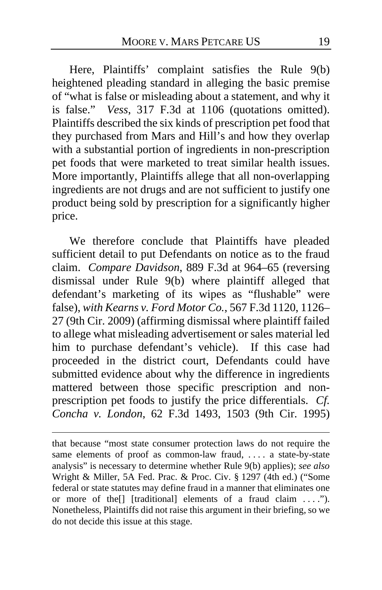Here, Plaintiffs' complaint satisfies the Rule 9(b) heightened pleading standard in alleging the basic premise of "what is false or misleading about a statement, and why it is false." *Vess*, 317 F.3d at 1106 (quotations omitted). Plaintiffs described the six kinds of prescription pet food that they purchased from Mars and Hill's and how they overlap with a substantial portion of ingredients in non-prescription pet foods that were marketed to treat similar health issues. More importantly, Plaintiffs allege that all non-overlapping ingredients are not drugs and are not sufficient to justify one product being sold by prescription for a significantly higher price.

We therefore conclude that Plaintiffs have pleaded sufficient detail to put Defendants on notice as to the fraud claim. *Compare Davidson*, 889 F.3d at 964–65 (reversing dismissal under Rule 9(b) where plaintiff alleged that defendant's marketing of its wipes as "flushable" were false), *with Kearns v. Ford Motor Co.*, 567 F.3d 1120, 1126– 27 (9th Cir. 2009) (affirming dismissal where plaintiff failed to allege what misleading advertisement or sales material led him to purchase defendant's vehicle). If this case had proceeded in the district court, Defendants could have submitted evidence about why the difference in ingredients mattered between those specific prescription and nonprescription pet foods to justify the price differentials. *Cf. Concha v. London*, 62 F.3d 1493, 1503 (9th Cir. 1995)

that because "most state consumer protection laws do not require the same elements of proof as common-law fraud, .... a state-by-state analysis" is necessary to determine whether Rule 9(b) applies); *see also*  Wright & Miller, 5A Fed. Prac. & Proc. Civ. § 1297 (4th ed.) ("Some federal or state statutes may define fraud in a manner that eliminates one or more of the[] [traditional] elements of a fraud claim . . . ."). Nonetheless, Plaintiffs did not raise this argument in their briefing, so we do not decide this issue at this stage.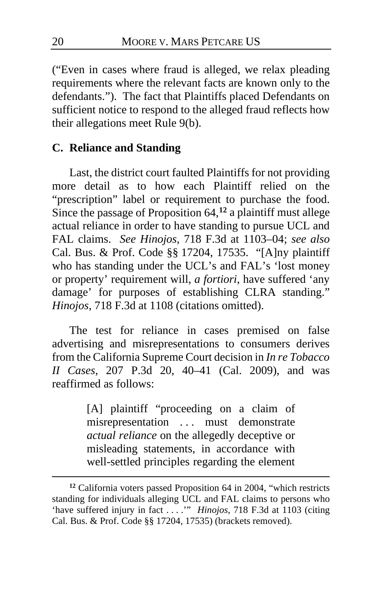("Even in cases where fraud is alleged, we relax pleading requirements where the relevant facts are known only to the defendants."). The fact that Plaintiffs placed Defendants on sufficient notice to respond to the alleged fraud reflects how their allegations meet Rule 9(b).

## <span id="page-19-0"></span>**C. Reliance and Standing**

Last, the district court faulted Plaintiffs for not providing more detail as to how each Plaintiff relied on the "prescription" label or requirement to purchase the food. Since the passage of Proposition 64,**[12](#page-19-1)** a plaintiff must allege actual reliance in order to have standing to pursue UCL and FAL claims. *See Hinojos*, 718 F.3d at 1103–04; *see also* Cal. Bus. & Prof. Code §§ 17204, 17535. "[A]ny plaintiff who has standing under the UCL's and FAL's 'lost money or property' requirement will, *a fortiori*, have suffered 'any damage' for purposes of establishing CLRA standing." *Hinojos*, 718 F.3d at 1108 (citations omitted).

The test for reliance in cases premised on false advertising and misrepresentations to consumers derives from the California Supreme Court decision in *In re Tobacco II Cases*, 207 P.3d 20, 40–41 (Cal. 2009), and was reaffirmed as follows:

> [A] plaintiff "proceeding on a claim of misrepresentation ... must demonstrate *actual reliance* on the allegedly deceptive or misleading statements, in accordance with well-settled principles regarding the element

<span id="page-19-1"></span>**<sup>12</sup>** California voters passed Proposition 64 in 2004, "which restricts standing for individuals alleging UCL and FAL claims to persons who 'have suffered injury in fact . . . .'" *Hinojos*, 718 F.3d at 1103 (citing Cal. Bus. & Prof. Code §§ 17204, 17535) (brackets removed).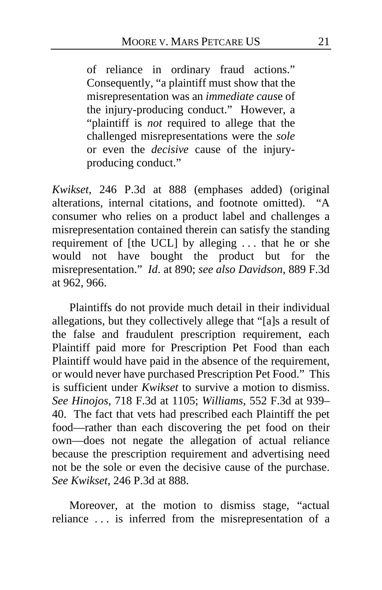of reliance in ordinary fraud actions." Consequently, "a plaintiff must show that the misrepresentation was an *immediate caus*e of the injury-producing conduct." However, a "plaintiff is *not* required to allege that the challenged misrepresentations were the *sole* or even the *decisive* cause of the injuryproducing conduct."

*Kwikset*, 246 P.3d at 888 (emphases added) (original alterations, internal citations, and footnote omitted). "A consumer who relies on a product label and challenges a misrepresentation contained therein can satisfy the standing requirement of [the UCL] by alleging . . . that he or she would not have bought the product but for the misrepresentation." *Id*. at 890; *see also Davidson*, 889 F.3d at 962, 966.

Plaintiffs do not provide much detail in their individual allegations, but they collectively allege that "[a]s a result of the false and fraudulent prescription requirement, each Plaintiff paid more for Prescription Pet Food than each Plaintiff would have paid in the absence of the requirement, or would never have purchased Prescription Pet Food." This is sufficient under *Kwikset* to survive a motion to dismiss. *See Hinojos*, 718 F.3d at 1105; *Williams*, 552 F.3d at 939– 40. The fact that vets had prescribed each Plaintiff the pet food—rather than each discovering the pet food on their own—does not negate the allegation of actual reliance because the prescription requirement and advertising need not be the sole or even the decisive cause of the purchase. *See Kwikset*, 246 P.3d at 888.

Moreover, at the motion to dismiss stage, "actual reliance . . . is inferred from the misrepresentation of a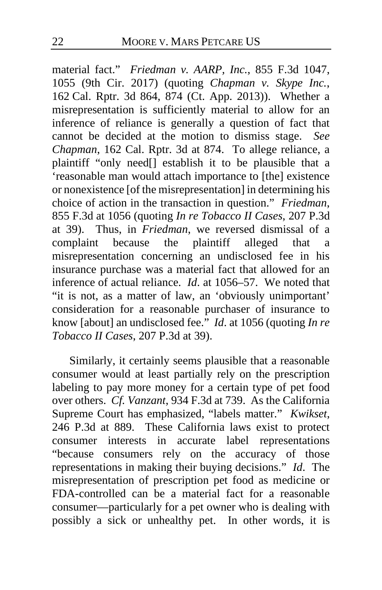material fact." *Friedman v. AARP, Inc.*, 855 F.3d 1047, 1055 (9th Cir. 2017) (quoting *Chapman v. Skype Inc.*, 162 Cal. Rptr. 3d 864, 874 (Ct. App. 2013)). Whether a misrepresentation is sufficiently material to allow for an inference of reliance is generally a question of fact that cannot be decided at the motion to dismiss stage. *See Chapman*, 162 Cal. Rptr. 3d at 874. To allege reliance, a plaintiff "only need[] establish it to be plausible that a 'reasonable man would attach importance to [the] existence or nonexistence [of the misrepresentation] in determining his choice of action in the transaction in question." *Friedman*, 855 F.3d at 1056 (quoting *In re Tobacco II Cases*, 207 P.3d at 39). Thus, in *Friedman*, we reversed dismissal of a complaint because the plaintiff alleged that a misrepresentation concerning an undisclosed fee in his insurance purchase was a material fact that allowed for an inference of actual reliance. *Id*. at 1056–57. We noted that "it is not, as a matter of law, an 'obviously unimportant' consideration for a reasonable purchaser of insurance to know [about] an undisclosed fee." *Id*. at 1056 (quoting *In re Tobacco II Cases*, 207 P.3d at 39).

Similarly, it certainly seems plausible that a reasonable consumer would at least partially rely on the prescription labeling to pay more money for a certain type of pet food over others. *Cf. Vanzant*, 934 F.3d at 739. As the California Supreme Court has emphasized, "labels matter." *Kwikset*, 246 P.3d at 889. These California laws exist to protect consumer interests in accurate label representations "because consumers rely on the accuracy of those representations in making their buying decisions." *Id*. The misrepresentation of prescription pet food as medicine or FDA-controlled can be a material fact for a reasonable consumer—particularly for a pet owner who is dealing with possibly a sick or unhealthy pet. In other words, it is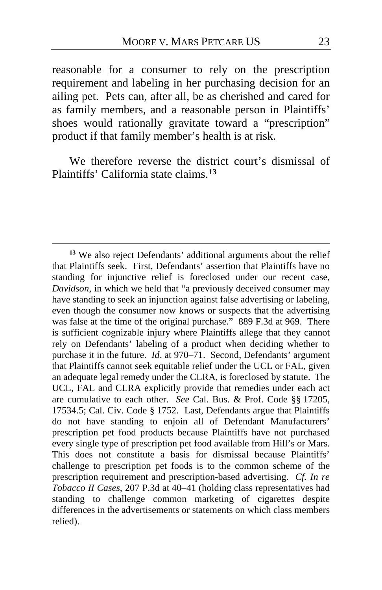reasonable for a consumer to rely on the prescription requirement and labeling in her purchasing decision for an ailing pet. Pets can, after all, be as cherished and cared for as family members, and a reasonable person in Plaintiffs' shoes would rationally gravitate toward a "prescription" product if that family member's health is at risk.

<span id="page-22-0"></span>We therefore reverse the district court's dismissal of Plaintiffs' California state claims.**[13](#page-22-1)**

<span id="page-22-1"></span>**<sup>13</sup>** We also reject Defendants' additional arguments about the relief that Plaintiffs seek. First, Defendants' assertion that Plaintiffs have no standing for injunctive relief is foreclosed under our recent case, *Davidson*, in which we held that "a previously deceived consumer may have standing to seek an injunction against false advertising or labeling, even though the consumer now knows or suspects that the advertising was false at the time of the original purchase." 889 F.3d at 969. There is sufficient cognizable injury where Plaintiffs allege that they cannot rely on Defendants' labeling of a product when deciding whether to purchase it in the future. *Id*. at 970–71. Second, Defendants' argument that Plaintiffs cannot seek equitable relief under the UCL or FAL, given an adequate legal remedy under the CLRA, is foreclosed by statute. The UCL, FAL and CLRA explicitly provide that remedies under each act are cumulative to each other. *See* Cal. Bus. & Prof. Code §§ 17205, 17534.5; Cal. Civ. Code § 1752. Last, Defendants argue that Plaintiffs do not have standing to enjoin all of Defendant Manufacturers' prescription pet food products because Plaintiffs have not purchased every single type of prescription pet food available from Hill's or Mars. This does not constitute a basis for dismissal because Plaintiffs' challenge to prescription pet foods is to the common scheme of the prescription requirement and prescription-based advertising. *Cf. In re Tobacco II Cases*, 207 P.3d at 40–41 (holding class representatives had standing to challenge common marketing of cigarettes despite differences in the advertisements or statements on which class members relied).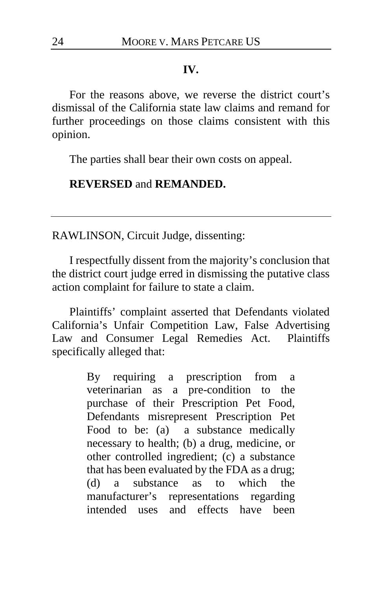### **IV.**

For the reasons above, we reverse the district court's dismissal of the California state law claims and remand for further proceedings on those claims consistent with this opinion.

The parties shall bear their own costs on appeal.

## **REVERSED** and **REMANDED.**

RAWLINSON, Circuit Judge, dissenting:

I respectfully dissent from the majority's conclusion that the district court judge erred in dismissing the putative class action complaint for failure to state a claim.

Plaintiffs' complaint asserted that Defendants violated California's Unfair Competition Law, False Advertising Law and Consumer Legal Remedies Act. Plaintiffs specifically alleged that:

> By requiring a prescription from a veterinarian as a pre-condition to the purchase of their Prescription Pet Food, Defendants misrepresent Prescription Pet Food to be: (a) a substance medically necessary to health; (b) a drug, medicine, or other controlled ingredient; (c) a substance that has been evaluated by the FDA as a drug; (d) a substance as to which the manufacturer's representations regarding intended uses and effects have been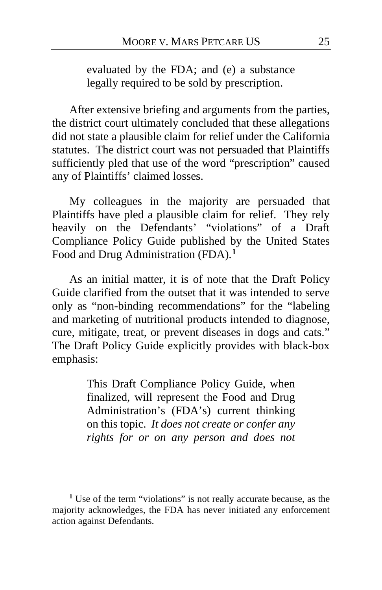evaluated by the FDA; and (e) a substance legally required to be sold by prescription.

After extensive briefing and arguments from the parties, the district court ultimately concluded that these allegations did not state a plausible claim for relief under the California statutes. The district court was not persuaded that Plaintiffs sufficiently pled that use of the word "prescription" caused any of Plaintiffs' claimed losses.

My colleagues in the majority are persuaded that Plaintiffs have pled a plausible claim for relief. They rely heavily on the Defendants' "violations" of a Draft Compliance Policy Guide published by the United States Food and Drug Administration (FDA).**[1](#page-24-0)**

As an initial matter, it is of note that the Draft Policy Guide clarified from the outset that it was intended to serve only as "non-binding recommendations" for the "labeling and marketing of nutritional products intended to diagnose, cure, mitigate, treat, or prevent diseases in dogs and cats." The Draft Policy Guide explicitly provides with black-box emphasis:

> This Draft Compliance Policy Guide, when finalized, will represent the Food and Drug Administration's (FDA's) current thinking on this topic. *It does not create or confer any rights for or on any person and does not*

<span id="page-24-0"></span>**<sup>1</sup>** Use of the term "violations" is not really accurate because, as the majority acknowledges, the FDA has never initiated any enforcement action against Defendants.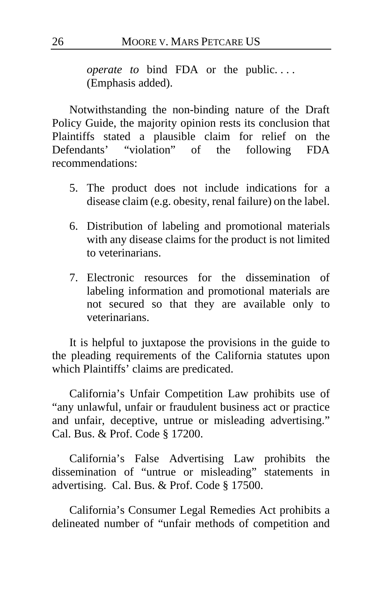*operate to* bind FDA or the public.... (Emphasis added).

Notwithstanding the non-binding nature of the Draft Policy Guide, the majority opinion rests its conclusion that Plaintiffs stated a plausible claim for relief on the Defendants' "violation" of the following FDA recommendations:

- 5. The product does not include indications for a disease claim (e.g. obesity, renal failure) on the label.
- 6. Distribution of labeling and promotional materials with any disease claims for the product is not limited to veterinarians.
- 7. Electronic resources for the dissemination of labeling information and promotional materials are not secured so that they are available only to veterinarians.

It is helpful to juxtapose the provisions in the guide to the pleading requirements of the California statutes upon which Plaintiffs' claims are predicated.

California's Unfair Competition Law prohibits use of "any unlawful, unfair or fraudulent business act or practice and unfair, deceptive, untrue or misleading advertising." Cal. Bus. & Prof. Code § 17200.

California's False Advertising Law prohibits the dissemination of "untrue or misleading" statements in advertising. Cal. Bus. & Prof. Code § 17500.

California's Consumer Legal Remedies Act prohibits a delineated number of "unfair methods of competition and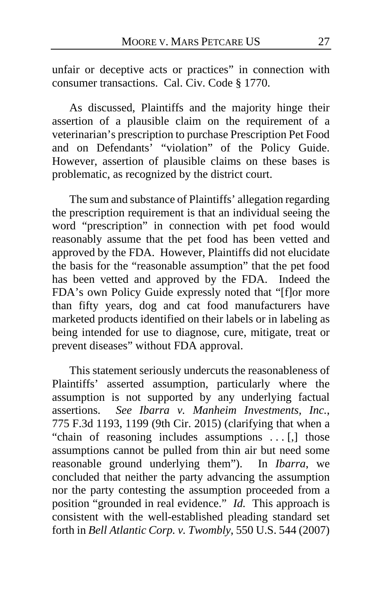unfair or deceptive acts or practices" in connection with consumer transactions. Cal. Civ. Code § 1770.

As discussed, Plaintiffs and the majority hinge their assertion of a plausible claim on the requirement of a veterinarian's prescription to purchase Prescription Pet Food and on Defendants' "violation" of the Policy Guide. However, assertion of plausible claims on these bases is problematic, as recognized by the district court.

The sum and substance of Plaintiffs' allegation regarding the prescription requirement is that an individual seeing the word "prescription" in connection with pet food would reasonably assume that the pet food has been vetted and approved by the FDA. However, Plaintiffs did not elucidate the basis for the "reasonable assumption" that the pet food has been vetted and approved by the FDA. Indeed the FDA's own Policy Guide expressly noted that "[f]or more than fifty years, dog and cat food manufacturers have marketed products identified on their labels or in labeling as being intended for use to diagnose, cure, mitigate, treat or prevent diseases" without FDA approval.

This statement seriously undercuts the reasonableness of Plaintiffs' asserted assumption, particularly where the assumption is not supported by any underlying factual assertions. *See Ibarra v. Manheim Investments, Inc.*, 775 F.3d 1193, 1199 (9th Cir. 2015) (clarifying that when a "chain of reasoning includes assumptions . . . [,] those assumptions cannot be pulled from thin air but need some reasonable ground underlying them"). In *Ibarra*, we concluded that neither the party advancing the assumption nor the party contesting the assumption proceeded from a position "grounded in real evidence." *Id.* This approach is consistent with the well-established pleading standard set forth in *Bell Atlantic Corp. v. Twombly*, 550 U.S. 544 (2007)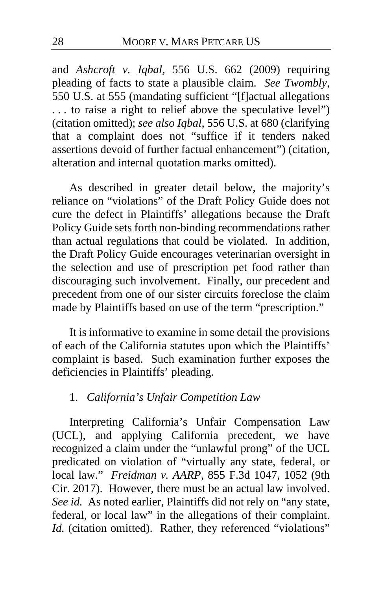and *Ashcroft v. Iqbal*, 556 U.S. 662 (2009) requiring pleading of facts to state a plausible claim. *See Twombly*, 550 U.S. at 555 (mandating sufficient "[f]actual allegations . . . to raise a right to relief above the speculative level") (citation omitted); *see also Iqbal*, 556 U.S. at 680 (clarifying that a complaint does not "suffice if it tenders naked assertions devoid of further factual enhancement") (citation, alteration and internal quotation marks omitted).

As described in greater detail below, the majority's reliance on "violations" of the Draft Policy Guide does not cure the defect in Plaintiffs' allegations because the Draft Policy Guide sets forth non-binding recommendations rather than actual regulations that could be violated. In addition, the Draft Policy Guide encourages veterinarian oversight in the selection and use of prescription pet food rather than discouraging such involvement. Finally, our precedent and precedent from one of our sister circuits foreclose the claim made by Plaintiffs based on use of the term "prescription."

It is informative to examine in some detail the provisions of each of the California statutes upon which the Plaintiffs' complaint is based. Such examination further exposes the deficiencies in Plaintiffs' pleading.

## 1. *California's Unfair Competition Law*

Interpreting California's Unfair Compensation Law (UCL), and applying California precedent, we have recognized a claim under the "unlawful prong" of the UCL predicated on violation of "virtually any state, federal, or local law." *Freidman v. AARP*, 855 F.3d 1047, 1052 (9th Cir. 2017). However, there must be an actual law involved. *See id.* As noted earlier, Plaintiffs did not rely on "any state, federal, or local law" in the allegations of their complaint. *Id.* (citation omitted). Rather, they referenced "violations"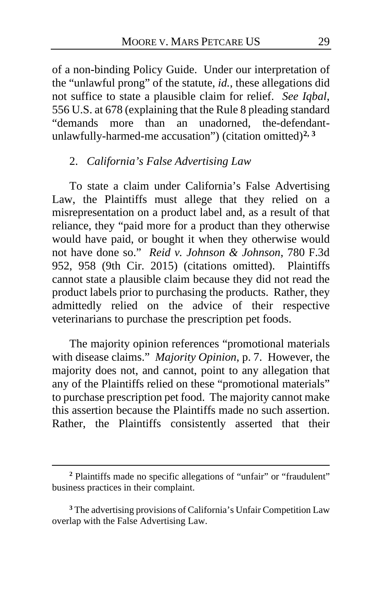of a non-binding Policy Guide. Under our interpretation of the "unlawful prong" of the statute, *id.*, these allegations did not suffice to state a plausible claim for relief. *See Iqbal*, 556 U.S. at 678 (explaining that the Rule 8 pleading standard "demands more than an unadorned, the-defendantunlawfully-harmed-me accusation") (citation omitted)**[2,](#page-28-0) [3](#page-28-1)**

## 2. *California's False Advertising Law*

To state a claim under California's False Advertising Law, the Plaintiffs must allege that they relied on a misrepresentation on a product label and, as a result of that reliance, they "paid more for a product than they otherwise would have paid, or bought it when they otherwise would not have done so." *Reid v. Johnson & Johnson*, 780 F.3d 952, 958 (9th Cir. 2015) (citations omitted). Plaintiffs cannot state a plausible claim because they did not read the product labels prior to purchasing the products. Rather, they admittedly relied on the advice of their respective veterinarians to purchase the prescription pet foods.

The majority opinion references "promotional materials with disease claims." *Majority Opinion*, p. [7.](#page-6-0) However, the majority does not, and cannot, point to any allegation that any of the Plaintiffs relied on these "promotional materials" to purchase prescription pet food. The majority cannot make this assertion because the Plaintiffs made no such assertion. Rather, the Plaintiffs consistently asserted that their

<span id="page-28-0"></span>**<sup>2</sup>** Plaintiffs made no specific allegations of "unfair" or "fraudulent" business practices in their complaint.

<span id="page-28-1"></span>**<sup>3</sup>** The advertising provisions of California's Unfair Competition Law overlap with the False Advertising Law.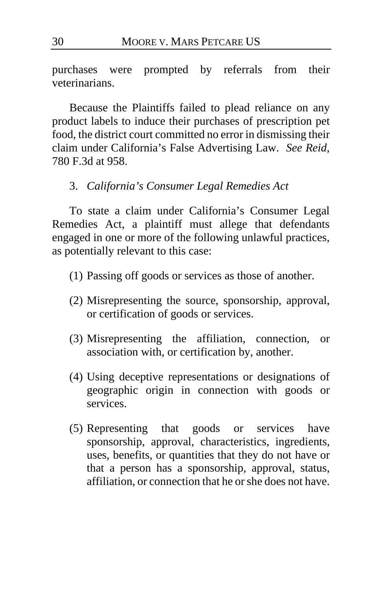purchases were prompted by referrals from their veterinarians.

Because the Plaintiffs failed to plead reliance on any product labels to induce their purchases of prescription pet food, the district court committed no error in dismissing their claim under California's False Advertising Law. *See Reid*, 780 F.3d at 958.

3. *California's Consumer Legal Remedies Act*

To state a claim under California's Consumer Legal Remedies Act, a plaintiff must allege that defendants engaged in one or more of the following unlawful practices, as potentially relevant to this case:

- (1) Passing off goods or services as those of another.
- (2) Misrepresenting the source, sponsorship, approval, or certification of goods or services.
- (3) Misrepresenting the affiliation, connection, or association with, or certification by, another.
- (4) Using deceptive representations or designations of geographic origin in connection with goods or services.
- (5) Representing that goods or services have sponsorship, approval, characteristics, ingredients, uses, benefits, or quantities that they do not have or that a person has a sponsorship, approval, status, affiliation, or connection that he or she does not have.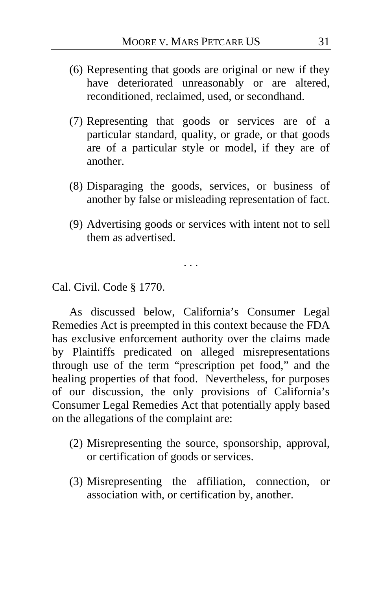- (6) Representing that goods are original or new if they have deteriorated unreasonably or are altered, reconditioned, reclaimed, used, or secondhand.
- (7) Representing that goods or services are of a particular standard, quality, or grade, or that goods are of a particular style or model, if they are of another.
- (8) Disparaging the goods, services, or business of another by false or misleading representation of fact.
- (9) Advertising goods or services with intent not to sell them as advertised.

. . .

Cal. Civil. Code § 1770.

As discussed below, California's Consumer Legal Remedies Act is preempted in this context because the FDA has exclusive enforcement authority over the claims made by Plaintiffs predicated on alleged misrepresentations through use of the term "prescription pet food," and the healing properties of that food. Nevertheless, for purposes of our discussion, the only provisions of California's Consumer Legal Remedies Act that potentially apply based on the allegations of the complaint are:

- (2) Misrepresenting the source, sponsorship, approval, or certification of goods or services.
- (3) Misrepresenting the affiliation, connection, or association with, or certification by, another.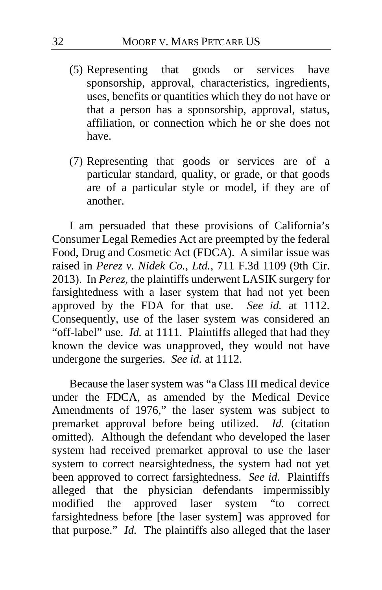- (5) Representing that goods or services have sponsorship, approval, characteristics, ingredients, uses, benefits or quantities which they do not have or that a person has a sponsorship, approval, status, affiliation, or connection which he or she does not have.
- (7) Representing that goods or services are of a particular standard, quality, or grade, or that goods are of a particular style or model, if they are of another.

I am persuaded that these provisions of California's Consumer Legal Remedies Act are preempted by the federal Food, Drug and Cosmetic Act (FDCA). A similar issue was raised in *Perez v. Nidek Co., Ltd.*, 711 F.3d 1109 (9th Cir. 2013). In *Perez*, the plaintiffs underwent LASIK surgery for farsightedness with a laser system that had not yet been approved by the FDA for that use. *See id.* at 1112. Consequently, use of the laser system was considered an "off-label" use. *Id.* at 1111. Plaintiffs alleged that had they known the device was unapproved, they would not have undergone the surgeries. *See id.* at 1112.

Because the laser system was "a Class III medical device under the FDCA, as amended by the Medical Device Amendments of 1976," the laser system was subject to premarket approval before being utilized. *Id.* (citation omitted). Although the defendant who developed the laser system had received premarket approval to use the laser system to correct nearsightedness, the system had not yet been approved to correct farsightedness. *See id.* Plaintiffs alleged that the physician defendants impermissibly modified the approved laser system "to correct farsightedness before [the laser system] was approved for that purpose." *Id.* The plaintiffs also alleged that the laser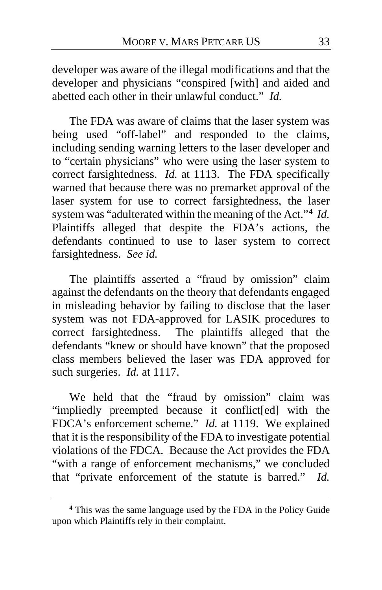developer was aware of the illegal modifications and that the developer and physicians "conspired [with] and aided and abetted each other in their unlawful conduct." *Id.*

The FDA was aware of claims that the laser system was being used "off-label" and responded to the claims, including sending warning letters to the laser developer and to "certain physicians" who were using the laser system to correct farsightedness. *Id.* at 1113. The FDA specifically warned that because there was no premarket approval of the laser system for use to correct farsightedness, the laser system was "adulterated within the meaning of the Act."**[4](#page-32-0)** *Id.* Plaintiffs alleged that despite the FDA's actions, the defendants continued to use to laser system to correct farsightedness. *See id.*

The plaintiffs asserted a "fraud by omission" claim against the defendants on the theory that defendants engaged in misleading behavior by failing to disclose that the laser system was not FDA-approved for LASIK procedures to correct farsightedness. The plaintiffs alleged that the defendants "knew or should have known" that the proposed class members believed the laser was FDA approved for such surgeries. *Id.* at 1117.

We held that the "fraud by omission" claim was "impliedly preempted because it conflict[ed] with the FDCA's enforcement scheme." *Id.* at 1119. We explained that it is the responsibility of the FDA to investigate potential violations of the FDCA. Because the Act provides the FDA "with a range of enforcement mechanisms," we concluded that "private enforcement of the statute is barred." *Id.*

<span id="page-32-0"></span>**<sup>4</sup>** This was the same language used by the FDA in the Policy Guide upon which Plaintiffs rely in their complaint.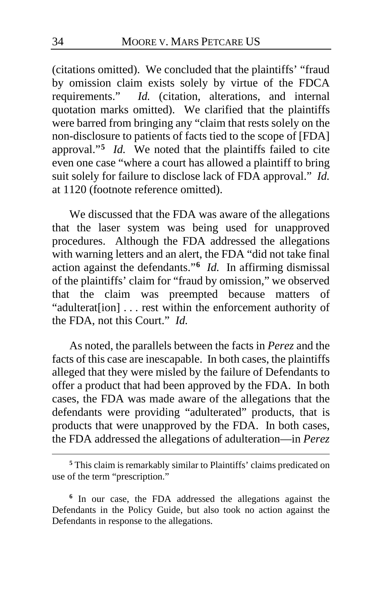(citations omitted). We concluded that the plaintiffs' "fraud by omission claim exists solely by virtue of the FDCA requirements." *Id.* (citation, alterations, and internal quotation marks omitted). We clarified that the plaintiffs were barred from bringing any "claim that rests solely on the non-disclosure to patients of facts tied to the scope of [FDA] approval."**[5](#page-33-0)** *Id.* We noted that the plaintiffs failed to cite even one case "where a court has allowed a plaintiff to bring suit solely for failure to disclose lack of FDA approval." *Id.* at 1120 (footnote reference omitted).

We discussed that the FDA was aware of the allegations that the laser system was being used for unapproved procedures. Although the FDA addressed the allegations with warning letters and an alert, the FDA "did not take final action against the defendants."**[6](#page-33-1)** *Id.* In affirming dismissal of the plaintiffs' claim for "fraud by omission," we observed that the claim was preempted because matters of "adulterat[ion] . . . rest within the enforcement authority of the FDA, not this Court." *Id.*

As noted, the parallels between the facts in *Perez* and the facts of this case are inescapable. In both cases, the plaintiffs alleged that they were misled by the failure of Defendants to offer a product that had been approved by the FDA. In both cases, the FDA was made aware of the allegations that the defendants were providing "adulterated" products, that is products that were unapproved by the FDA. In both cases, the FDA addressed the allegations of adulteration—in *Perez*

<span id="page-33-0"></span>**<sup>5</sup>** This claim is remarkably similar to Plaintiffs' claims predicated on use of the term "prescription."

<span id="page-33-1"></span>**<sup>6</sup>** In our case, the FDA addressed the allegations against the Defendants in the Policy Guide, but also took no action against the Defendants in response to the allegations.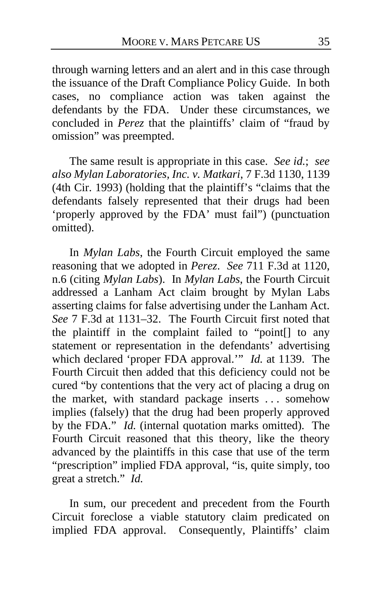through warning letters and an alert and in this case through the issuance of the Draft Compliance Policy Guide. In both cases, no compliance action was taken against the defendants by the FDA. Under these circumstances, we concluded in *Perez* that the plaintiffs' claim of "fraud by omission" was preempted.

The same result is appropriate in this case. *See id.*; *see also Mylan Laboratories, Inc. v. Matkari*, 7 F.3d 1130, 1139 (4th Cir. 1993) (holding that the plaintiff's "claims that the defendants falsely represented that their drugs had been 'properly approved by the FDA' must fail") (punctuation omitted).

In *Mylan Labs*, the Fourth Circuit employed the same reasoning that we adopted in *Perez*. *See* 711 F.3d at 1120, n.6 (citing *Mylan Labs*). In *Mylan Labs*, the Fourth Circuit addressed a Lanham Act claim brought by Mylan Labs asserting claims for false advertising under the Lanham Act. *See* 7 F.3d at 1131–32. The Fourth Circuit first noted that the plaintiff in the complaint failed to "point[] to any statement or representation in the defendants' advertising which declared 'proper FDA approval.'" *Id.* at 1139. The Fourth Circuit then added that this deficiency could not be cured "by contentions that the very act of placing a drug on the market, with standard package inserts . . . somehow implies (falsely) that the drug had been properly approved by the FDA." *Id.* (internal quotation marks omitted). The Fourth Circuit reasoned that this theory, like the theory advanced by the plaintiffs in this case that use of the term "prescription" implied FDA approval, "is, quite simply, too great a stretch." *Id.*

In sum, our precedent and precedent from the Fourth Circuit foreclose a viable statutory claim predicated on implied FDA approval. Consequently, Plaintiffs' claim